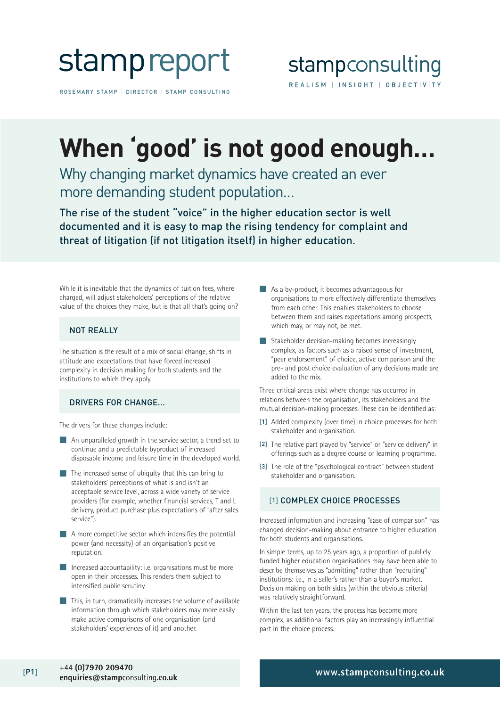

ROSEMARY STAMP | DIRECTOR | STAMP CONSULTING

## **When 'good' is not good enough…**

Why changing market dynamics have created an ever more demanding student population…

The rise of the student "voice" in the higher education sector is well documented and it is easy to map the rising tendency for complaint and threat of litigation (if not litigation itself) in higher education.

While it is inevitable that the dynamics of tuition fees, where charged, will adjust stakeholders' perceptions of the relative value of the choices they make, but is that all that's going on?

#### NOT REALLY

The situation is the result of a mix of social change, shifts in attitude and expectations that have forced increased complexity in decision making for both students and the institutions to which they apply.

#### DRIVERS FOR CHANGE...

The drivers for these changes include:

- An unparalleled growth in the service sector, a trend set to continue and a predictable byproduct of increased disposable income and leisure time in the developed world.
- The increased sense of ubiquity that this can bring to stakeholders' perceptions of what is and isn't an acceptable service level, across a wide variety of service providers (for example, whether financial services, T and L delivery, product purchase plus expectations of "after sales service").
- A more competitive sector which intensifies the potential power (and necessity) of an organisation's positive reputation.
- Increased accountability: i.e. organisations must be more open in their processes. This renders them subject to intensified public scrutiny.
- **This, in turn, dramatically increases the volume of available** information through which stakeholders may more easily make active comparisons of one organisation (and stakeholders' experiences of it) and another.
- As a by-product, it becomes advantageous for organisations to more effectively differentiate themselves from each other. This enables stakeholders to choose between them and raises expectations among prospects, which may, or may not, be met.
- Stakeholder decision-making becomes increasingly complex, as factors such as a raised sense of investment, "peer endorsement" of choice, active comparison and the pre- and post choice evaluation of any decisions made are added to the mix.

Three critical areas exist where change has occurred in relations between the organisation, its stakeholders and the mutual decision-making processes. These can be identified as:

- [1] Added complexity (over time) in choice processes for both stakeholder and organisation.
- [2] The relative part played by "service" or "service delivery" in offerings such as a degree course or learning programme.
- [3] The role of the "psychological contract" between student stakeholder and organisation.

#### [1] COMPLEX CHOICE PROCESSES

Increased information and increasing "ease of comparison" has changed decision-making about entrance to higher education for both students and organisations.

In simple terms, up to 25 years ago, a proportion of publicly funded higher education organisations may have been able to describe themselves as "admitting" rather than "recruiting" institutions: i.e., in a seller's rather than a buyer's market. Decision making on both sides (within the obvious criteria) was relatively straightforward.

Within the last ten years, the process has become more complex, as additional factors play an increasingly influential part in the choice process.